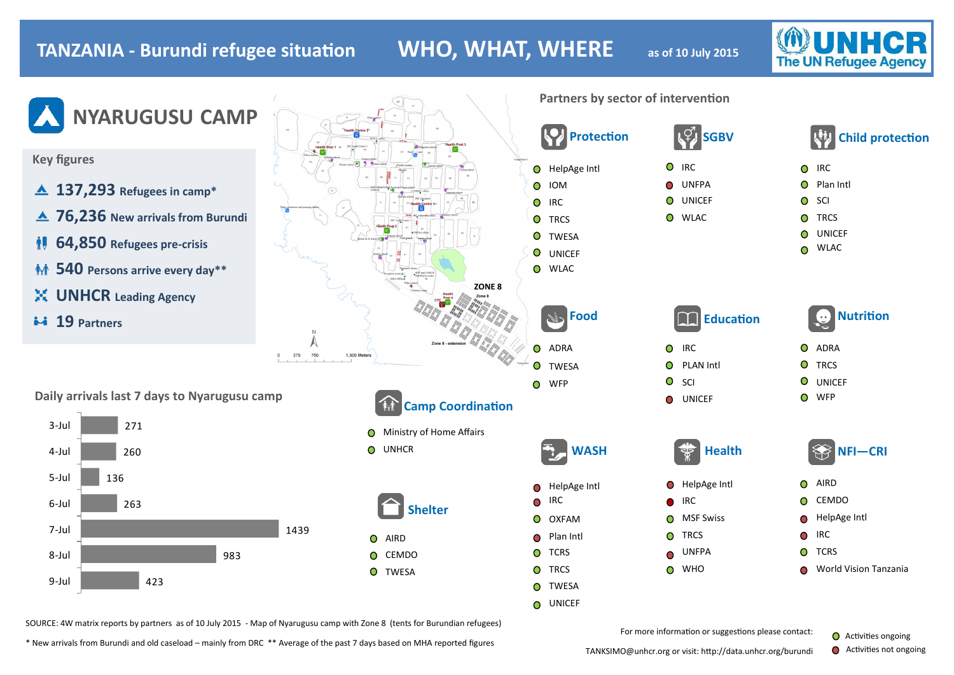# **TANZANIA - Burundi refugee situation WHO, WHAT, WHERE as of 10 July 2015**

**The UN Refugee Agency** 



\* New arrivals from Burundi and old caseload – mainly from DRC \*\* Average of the past 7 days based on MHA reported figures

TANKSIMO@unhcr.org or visit: http://data.unhcr.org/burundi

 $\bullet$ Activities not ongoing